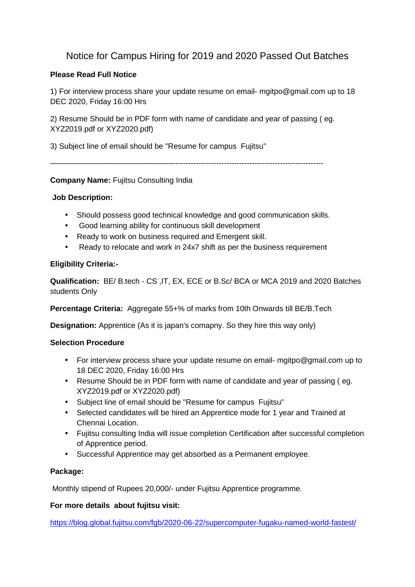### Notice for Campus Hiring for 2019 and 2020 Passed Out Batches

### **Please Read Full Notice**

1) For interview process share your update resume on email- mgitpo@gmail.com up to 18 DEC 2020, Friday 16:00 Hrs

2) Resume Should be in PDF form with name of candidate and year of passing ( eg. XYZ2019.pdf or XYZ2020.pdf)

3) Subject line of email should be "Resume for campus Fujitsu"

————————————————-----------------------------------------------------------

### **Company Name:** Fujitsu Consulting India

### **Job Description:**

- Should possess good technical knowledge and good communication skills.
- Good learning ability for continuous skill development
- Ready to work on business required and Emergent skill.
- Ready to relocate and work in 24x7 shift as per the business requirement

### **Eligibility Criteria:-**

**Qualification:** BE/ B.tech - CS ,IT, EX, ECE or B.Sc/ BCA or MCA 2019 and 2020 Batches students Only

**Percentage Criteria:** Aggregate 55+% of marks from 10th Onwards till BE/B.Tech

**Designation:** Apprentice (As it is japan's comapny. So they hire this way only)

### **Selection Procedure**

- For interview process share your update resume on email- mgitpo@gmail.com up to 18 DEC 2020, Friday 16:00 Hrs
- Resume Should be in PDF form with name of candidate and year of passing ( eg. XYZ2019.pdf or XYZ2020.pdf)
- Subject line of email should be "Resume for campus Fujitsu"
- Selected candidates will be hired an Apprentice mode for 1 year and Trained at Chennai Location.
- Fujitsu consulting India will issue completion Certification after successful completion of Apprentice period.
- Successful Apprentice may get absorbed as a Permanent employee.

### **Package:**

Monthly stipend of Rupees 20,000/- under Fujitsu Apprentice programme.

### **For more details about fujitsu visit:**

https://blog.global.fujitsu.com/fgb/2020-06-22/supercomputer-fugaku-named-world-fastest/